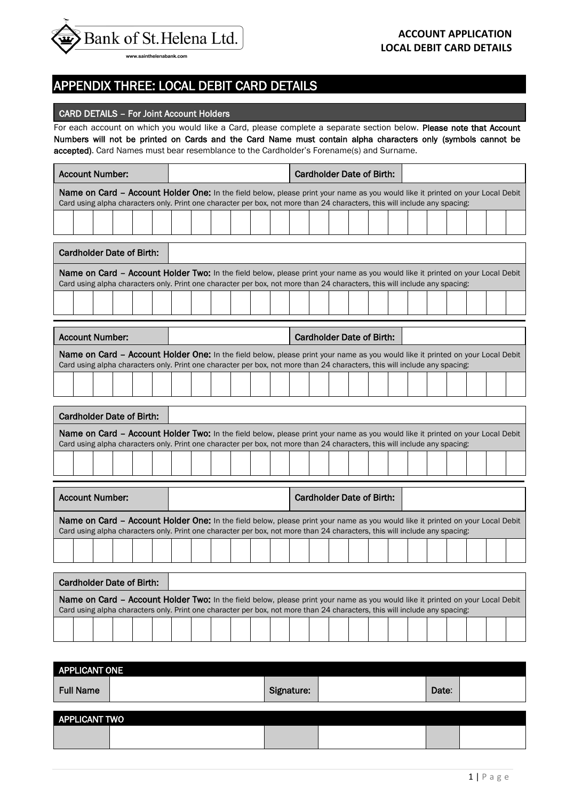

## APPENDIX THREE: LOCAL DEBIT CARD DETAILS

### CARD DETAILS – For Joint Account Holders

 $\overline{\phantom{a}}$ 

For each account on which you would like a Card, please complete a separate section below. Please note that Account Numbers will not be printed on Cards and the Card Name must contain alpha characters only (symbols cannot be accepted). Card Names must bear resemblance to the Cardholder's Forename(s) and Surname.

| <b>Account Number:</b>                                                                                                                                                                                                                                       |  |  | <b>Cardholder Date of Birth:</b> |  |  |  |  |  |  |
|--------------------------------------------------------------------------------------------------------------------------------------------------------------------------------------------------------------------------------------------------------------|--|--|----------------------------------|--|--|--|--|--|--|
| Name on Card - Account Holder One: In the field below, please print your name as you would like it printed on your Local Debit<br>Card using alpha characters only. Print one character per box, not more than 24 characters, this will include any spacing: |  |  |                                  |  |  |  |  |  |  |
|                                                                                                                                                                                                                                                              |  |  |                                  |  |  |  |  |  |  |
| <b>Cardholder Date of Birth:</b>                                                                                                                                                                                                                             |  |  |                                  |  |  |  |  |  |  |
| Name on Card - Account Holder Two: In the field below, please print your name as you would like it printed on your Local Debit<br>Card using alpha characters only. Print one character per box, not more than 24 characters, this will include any spacing: |  |  |                                  |  |  |  |  |  |  |
|                                                                                                                                                                                                                                                              |  |  |                                  |  |  |  |  |  |  |
| <b>Account Number:</b>                                                                                                                                                                                                                                       |  |  | <b>Cardholder Date of Birth:</b> |  |  |  |  |  |  |
| Name on Card - Account Holder One: In the field below, please print your name as you would like it printed on your Local Debit<br>Card using alpha characters only. Print one character per box, not more than 24 characters, this will include any spacing: |  |  |                                  |  |  |  |  |  |  |
|                                                                                                                                                                                                                                                              |  |  |                                  |  |  |  |  |  |  |
|                                                                                                                                                                                                                                                              |  |  |                                  |  |  |  |  |  |  |
| <b>Cardholder Date of Birth:</b>                                                                                                                                                                                                                             |  |  |                                  |  |  |  |  |  |  |
| Name on Card - Account Holder Two: In the field below, please print your name as you would like it printed on your Local Debit<br>Card using alpha characters only. Print one character per box, not more than 24 characters, this will include any spacing: |  |  |                                  |  |  |  |  |  |  |
|                                                                                                                                                                                                                                                              |  |  |                                  |  |  |  |  |  |  |
| <b>Account Number:</b>                                                                                                                                                                                                                                       |  |  | <b>Cardholder Date of Birth:</b> |  |  |  |  |  |  |
| Name on Card - Account Holder One: In the field below, please print your name as you would like it printed on your Local Debit<br>Card using alpha characters only. Print one character per box, not more than 24 characters, this will include any spacing: |  |  |                                  |  |  |  |  |  |  |
|                                                                                                                                                                                                                                                              |  |  |                                  |  |  |  |  |  |  |
| <b>Cardholder Date of Birth:</b>                                                                                                                                                                                                                             |  |  |                                  |  |  |  |  |  |  |
| Name on Card - Account Holder Two: In the field below, please print your name as you would like it printed on your Local Debit<br>Card using alpha characters only. Print one character per box, not more than 24 characters, this will include any spacing: |  |  |                                  |  |  |  |  |  |  |

| <b>APPLICANT ONE</b> |            |       |  |
|----------------------|------------|-------|--|
| <b>Full Name</b>     | Signature: | Date: |  |
|                      |            |       |  |
| <b>APPLICANT TWO</b> |            |       |  |
|                      |            |       |  |
|                      |            |       |  |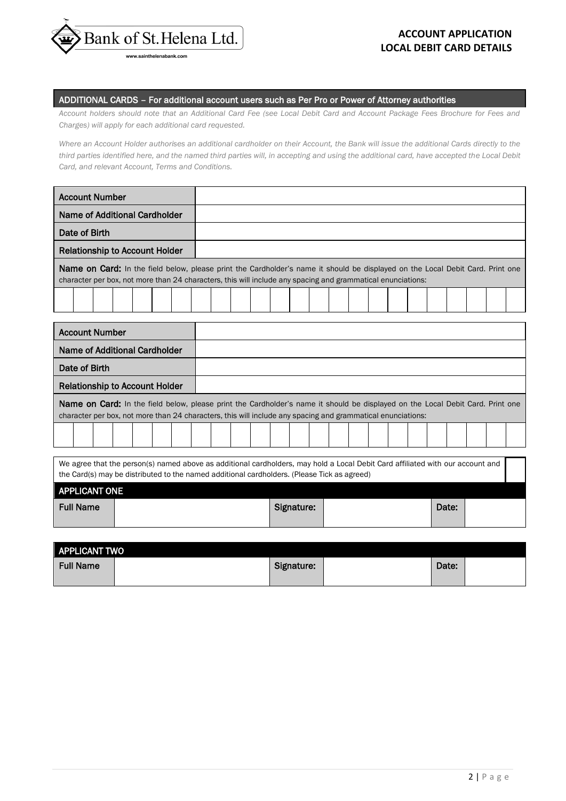

#### ADDITIONAL CARDS – For additional account users such as Per Pro or Power of Attorney authorities

*Account holders should note that an Additional Card Fee (see Local Debit Card and Account Package Fees Brochure for Fees and Charges) will apply for each additional card requested.* 

*Where an Account Holder authorises an additional cardholder on their Account, the Bank will issue the additional Cards directly to the third parties identified here, and the named third parties will, in accepting and using the additional card, have accepted the Local Debit Card, and relevant Account, Terms and Conditions.* 

| <b>Account Number</b>                                                                                                                                                                                                                                |                                                                                                                                                                                                                                                      |  |  |  |  |  |  |  |            |  |  |  |       |  |  |
|------------------------------------------------------------------------------------------------------------------------------------------------------------------------------------------------------------------------------------------------------|------------------------------------------------------------------------------------------------------------------------------------------------------------------------------------------------------------------------------------------------------|--|--|--|--|--|--|--|------------|--|--|--|-------|--|--|
| Name of Additional Cardholder                                                                                                                                                                                                                        |                                                                                                                                                                                                                                                      |  |  |  |  |  |  |  |            |  |  |  |       |  |  |
| Date of Birth                                                                                                                                                                                                                                        |                                                                                                                                                                                                                                                      |  |  |  |  |  |  |  |            |  |  |  |       |  |  |
| <b>Relationship to Account Holder</b>                                                                                                                                                                                                                |                                                                                                                                                                                                                                                      |  |  |  |  |  |  |  |            |  |  |  |       |  |  |
| <b>Name on Card:</b> In the field below, please print the Cardholder's name it should be displayed on the Local Debit Card. Print one<br>character per box, not more than 24 characters, this will include any spacing and grammatical enunciations: |                                                                                                                                                                                                                                                      |  |  |  |  |  |  |  |            |  |  |  |       |  |  |
|                                                                                                                                                                                                                                                      |                                                                                                                                                                                                                                                      |  |  |  |  |  |  |  |            |  |  |  |       |  |  |
| <b>Account Number</b>                                                                                                                                                                                                                                |                                                                                                                                                                                                                                                      |  |  |  |  |  |  |  |            |  |  |  |       |  |  |
| Name of Additional Cardholder                                                                                                                                                                                                                        |                                                                                                                                                                                                                                                      |  |  |  |  |  |  |  |            |  |  |  |       |  |  |
| Date of Birth                                                                                                                                                                                                                                        |                                                                                                                                                                                                                                                      |  |  |  |  |  |  |  |            |  |  |  |       |  |  |
| <b>Relationship to Account Holder</b>                                                                                                                                                                                                                |                                                                                                                                                                                                                                                      |  |  |  |  |  |  |  |            |  |  |  |       |  |  |
|                                                                                                                                                                                                                                                      | <b>Name on Card:</b> In the field below, please print the Cardholder's name it should be displayed on the Local Debit Card. Print one<br>character per box, not more than 24 characters, this will include any spacing and grammatical enunciations: |  |  |  |  |  |  |  |            |  |  |  |       |  |  |
|                                                                                                                                                                                                                                                      |                                                                                                                                                                                                                                                      |  |  |  |  |  |  |  |            |  |  |  |       |  |  |
| We agree that the person(s) named above as additional cardholders, may hold a Local Debit Card affiliated with our account and                                                                                                                       |                                                                                                                                                                                                                                                      |  |  |  |  |  |  |  |            |  |  |  |       |  |  |
| the Card(s) may be distributed to the named additional cardholders. (Please Tick as agreed)                                                                                                                                                          |                                                                                                                                                                                                                                                      |  |  |  |  |  |  |  |            |  |  |  |       |  |  |
| <b>APPLICANT ONE</b>                                                                                                                                                                                                                                 |                                                                                                                                                                                                                                                      |  |  |  |  |  |  |  |            |  |  |  |       |  |  |
| <b>Full Name</b>                                                                                                                                                                                                                                     |                                                                                                                                                                                                                                                      |  |  |  |  |  |  |  | Signature: |  |  |  | Date: |  |  |

| <b>APPLICANT TWO</b> |            |       |  |
|----------------------|------------|-------|--|
| <b>Full Name</b>     | Signature: | Date: |  |
|                      |            |       |  |